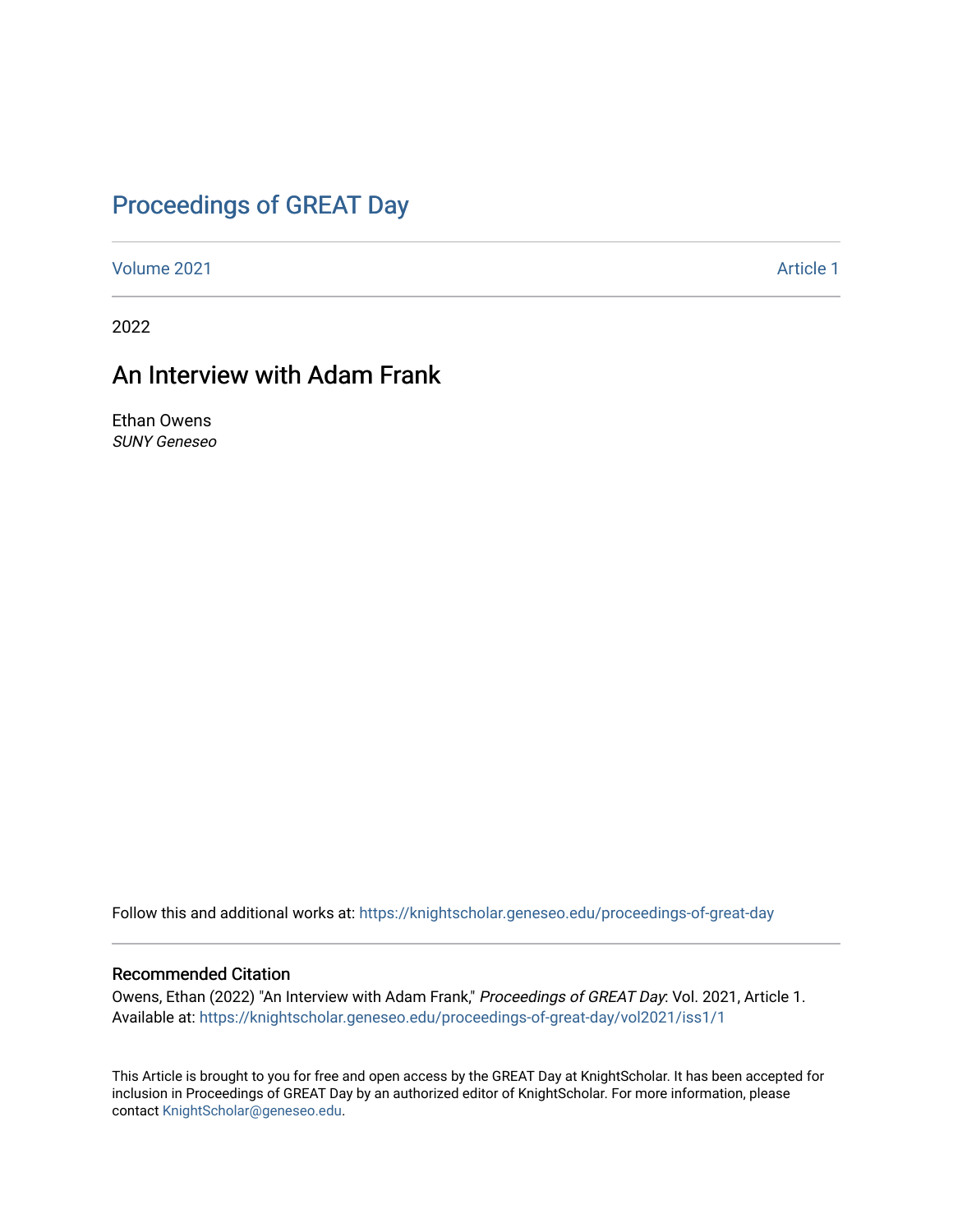### [Proceedings of GREAT Day](https://knightscholar.geneseo.edu/proceedings-of-great-day)

[Volume 2021](https://knightscholar.geneseo.edu/proceedings-of-great-day/vol2021) **Article 1** Article 1

2022

#### An Interview with Adam Frank

Ethan Owens SUNY Geneseo

Follow this and additional works at: [https://knightscholar.geneseo.edu/proceedings-of-great-day](https://knightscholar.geneseo.edu/proceedings-of-great-day?utm_source=knightscholar.geneseo.edu%2Fproceedings-of-great-day%2Fvol2021%2Fiss1%2F1&utm_medium=PDF&utm_campaign=PDFCoverPages) 

#### Recommended Citation

Owens, Ethan (2022) "An Interview with Adam Frank," Proceedings of GREAT Day: Vol. 2021, Article 1. Available at: [https://knightscholar.geneseo.edu/proceedings-of-great-day/vol2021/iss1/1](https://knightscholar.geneseo.edu/proceedings-of-great-day/vol2021/iss1/1?utm_source=knightscholar.geneseo.edu%2Fproceedings-of-great-day%2Fvol2021%2Fiss1%2F1&utm_medium=PDF&utm_campaign=PDFCoverPages) 

This Article is brought to you for free and open access by the GREAT Day at KnightScholar. It has been accepted for inclusion in Proceedings of GREAT Day by an authorized editor of KnightScholar. For more information, please contact [KnightScholar@geneseo.edu.](mailto:KnightScholar@geneseo.edu)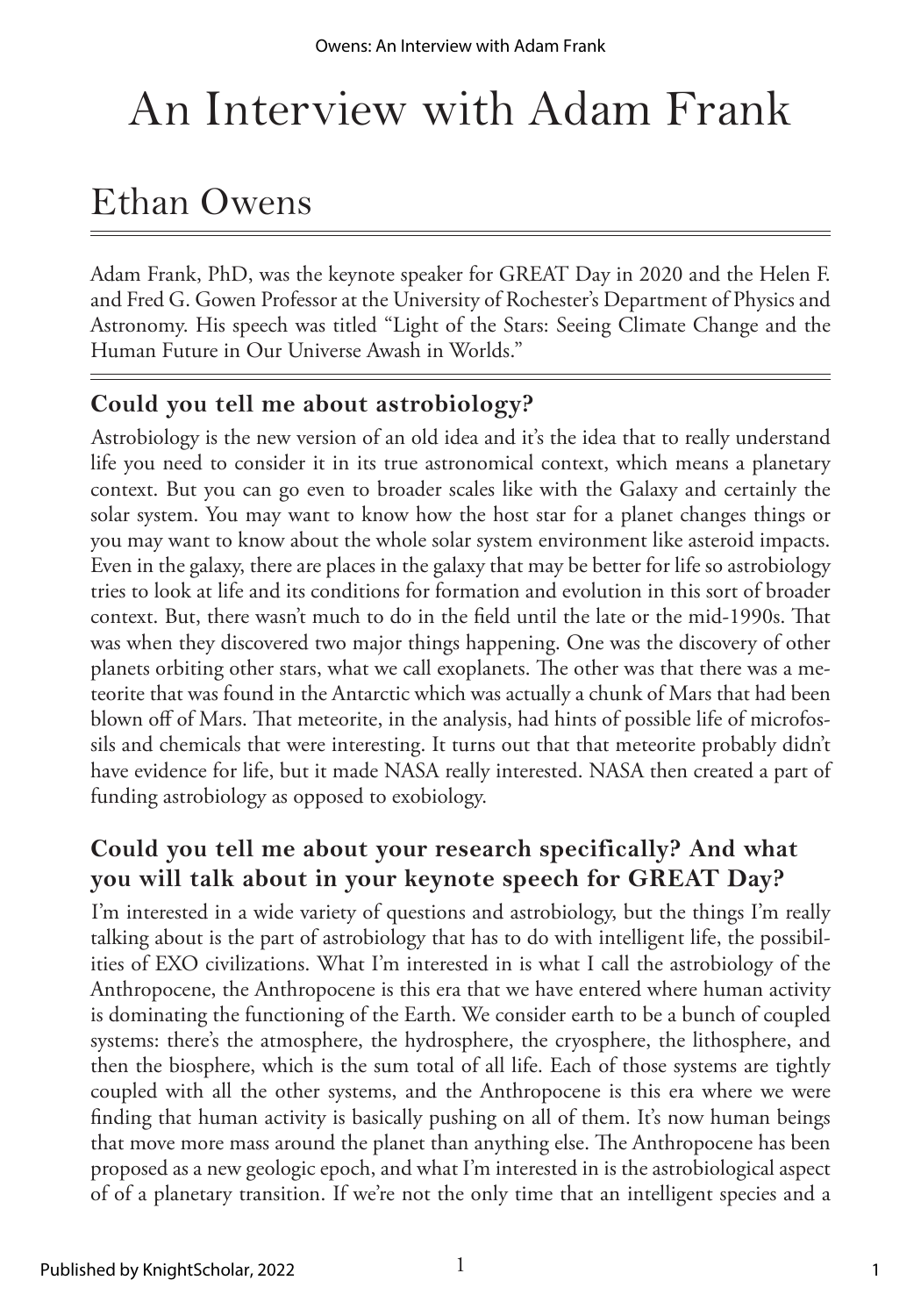# An Interview with Adam Frank

## Ethan Owens

Adam Frank, PhD, was the keynote speaker for GREAT Day in 2020 and the Helen F. and Fred G. Gowen Professor at the University of Rochester's Department of Physics and Astronomy. His speech was titled "Light of the Stars: Seeing Climate Change and the Human Future in Our Universe Awash in Worlds."

#### **Could you tell me about astrobiology?**

Astrobiology is the new version of an old idea and it's the idea that to really understand life you need to consider it in its true astronomical context, which means a planetary context. But you can go even to broader scales like with the Galaxy and certainly the solar system. You may want to know how the host star for a planet changes things or you may want to know about the whole solar system environment like asteroid impacts. Even in the galaxy, there are places in the galaxy that may be better for life so astrobiology tries to look at life and its conditions for formation and evolution in this sort of broader context. But, there wasn't much to do in the field until the late or the mid-1990s. That was when they discovered two major things happening. One was the discovery of other planets orbiting other stars, what we call exoplanets. The other was that there was a meteorite that was found in the Antarctic which was actually a chunk of Mars that had been blown off of Mars. That meteorite, in the analysis, had hints of possible life of microfossils and chemicals that were interesting. It turns out that that meteorite probably didn't have evidence for life, but it made NASA really interested. NASA then created a part of funding astrobiology as opposed to exobiology.

#### **Could you tell me about your research specifically? And what you will talk about in your keynote speech for GREAT Day?**

I'm interested in a wide variety of questions and astrobiology, but the things I'm really talking about is the part of astrobiology that has to do with intelligent life, the possibilities of EXO civilizations. What I'm interested in is what I call the astrobiology of the Anthropocene, the Anthropocene is this era that we have entered where human activity is dominating the functioning of the Earth. We consider earth to be a bunch of coupled systems: there's the atmosphere, the hydrosphere, the cryosphere, the lithosphere, and then the biosphere, which is the sum total of all life. Each of those systems are tightly coupled with all the other systems, and the Anthropocene is this era where we were finding that human activity is basically pushing on all of them. It's now human beings that move more mass around the planet than anything else. The Anthropocene has been proposed as a new geologic epoch, and what I'm interested in is the astrobiological aspect of of a planetary transition. If we're not the only time that an intelligent species and a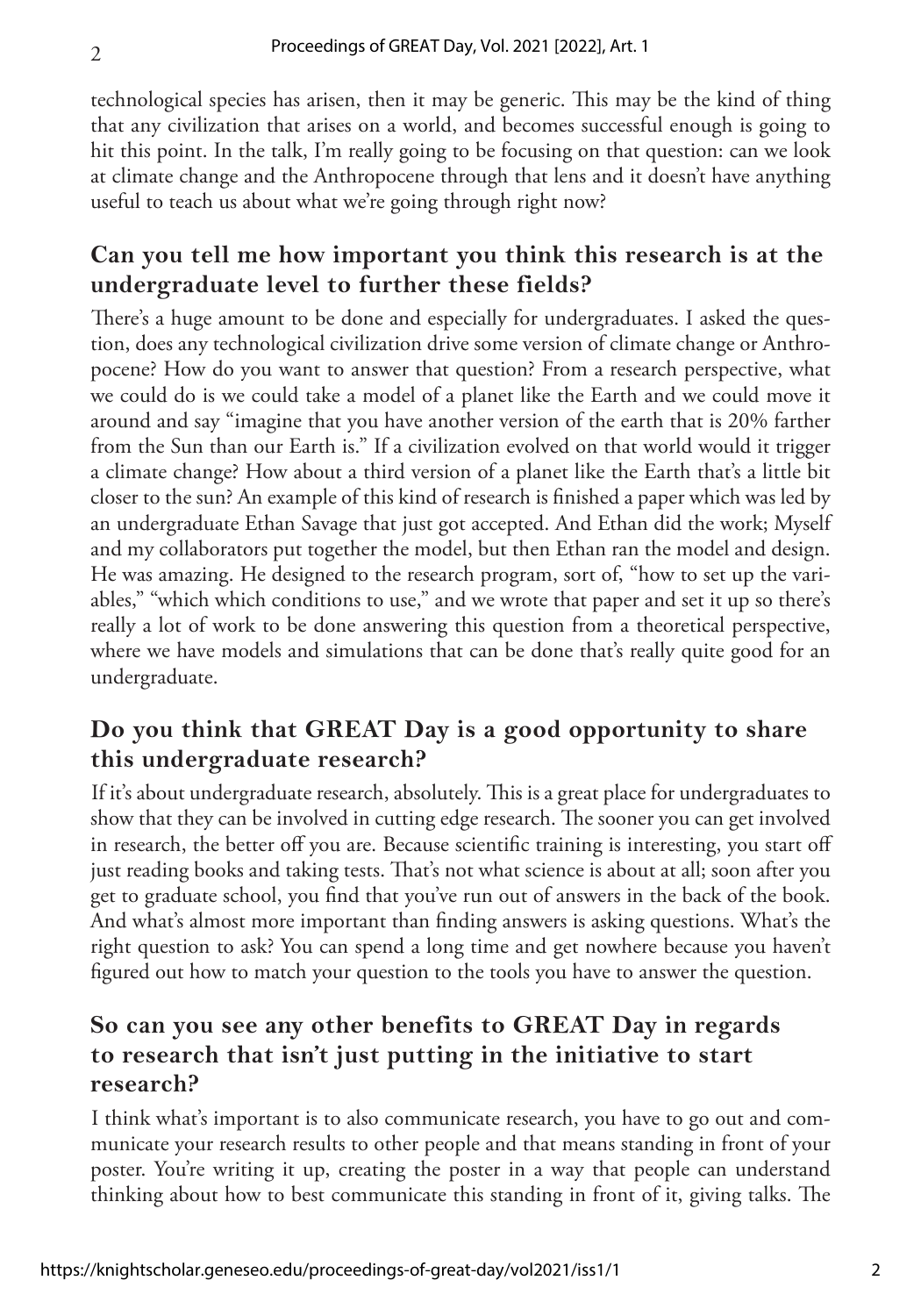technological species has arisen, then it may be generic. This may be the kind of thing that any civilization that arises on a world, and becomes successful enough is going to hit this point. In the talk, I'm really going to be focusing on that question: can we look at climate change and the Anthropocene through that lens and it doesn't have anything useful to teach us about what we're going through right now?

#### **Can you tell me how important you think this research is at the undergraduate level to further these fields?**

There's a huge amount to be done and especially for undergraduates. I asked the question, does any technological civilization drive some version of climate change or Anthropocene? How do you want to answer that question? From a research perspective, what we could do is we could take a model of a planet like the Earth and we could move it around and say "imagine that you have another version of the earth that is 20% farther from the Sun than our Earth is." If a civilization evolved on that world would it trigger a climate change? How about a third version of a planet like the Earth that's a little bit closer to the sun? An example of this kind of research is finished a paper which was led by an undergraduate Ethan Savage that just got accepted. And Ethan did the work; Myself and my collaborators put together the model, but then Ethan ran the model and design. He was amazing. He designed to the research program, sort of, "how to set up the variables," "which which conditions to use," and we wrote that paper and set it up so there's really a lot of work to be done answering this question from a theoretical perspective, where we have models and simulations that can be done that's really quite good for an undergraduate.

#### **Do you think that GREAT Day is a good opportunity to share this undergraduate research?**

If it's about undergraduate research, absolutely. This is a great place for undergraduates to show that they can be involved in cutting edge research. The sooner you can get involved in research, the better off you are. Because scientific training is interesting, you start off just reading books and taking tests. That's not what science is about at all; soon after you get to graduate school, you find that you've run out of answers in the back of the book. And what's almost more important than finding answers is asking questions. What's the right question to ask? You can spend a long time and get nowhere because you haven't figured out how to match your question to the tools you have to answer the question.

#### **So can you see any other benefits to GREAT Day in regards to research that isn't just putting in the initiative to start research?**

I think what's important is to also communicate research, you have to go out and communicate your research results to other people and that means standing in front of your poster. You're writing it up, creating the poster in a way that people can understand thinking about how to best communicate this standing in front of it, giving talks. The